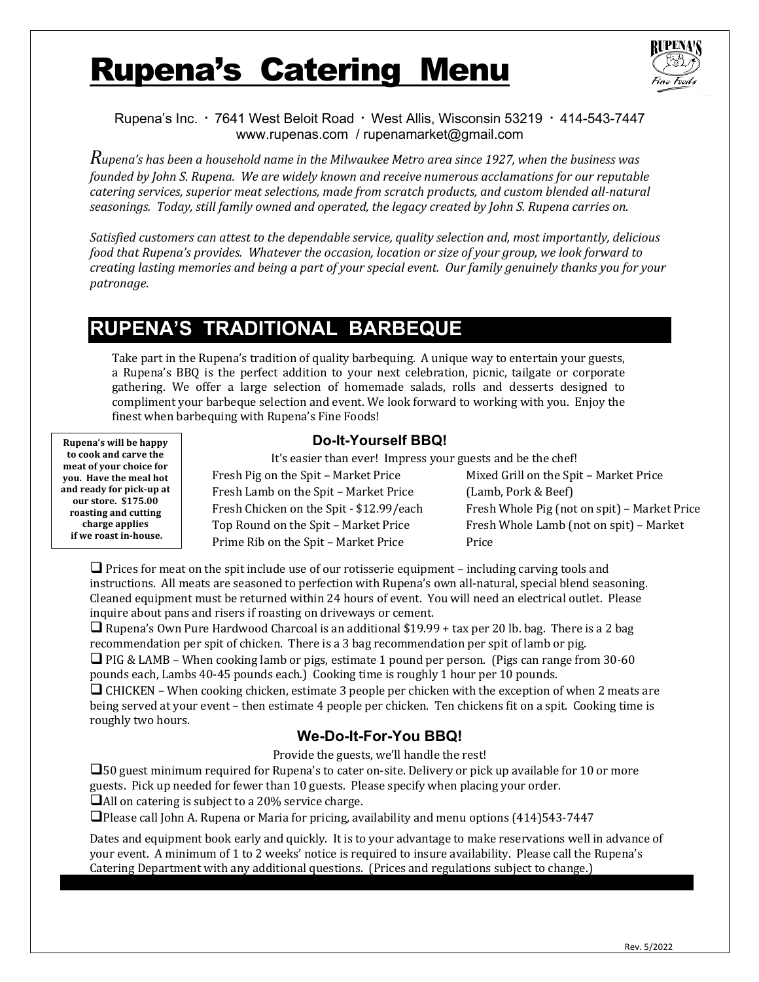# **Rupena's Catering Menu**



Rupena's Inc.  $\cdot$  7641 West Beloit Road  $\cdot$  West Allis, Wisconsin 53219  $\cdot$  414-543-7447 www.rupenas.com / rupenamarket@gmail.com

*Rupena's has been a household name in the Milwaukee Metro area since 1927, when the business was founded by John S. Rupena. We are widely known and receive numerous acclamations for our reputable catering services, superior meat selections, made from scratch products, and custom blended all-natural* seasonings. Today, still family owned and operated, the legacy created by John S. Rupena carries on.

Satisfied customers can attest to the dependable service, quality selection and, most importantly, delicious *food that Rupena's provides. Whatever the occasion, location or size of your group, we look forward to creating lasting memories and being a part of your special event. Our family genuinely thanks you for your patronage.*

# **RUPENA'S TRADITIONAL BARBEQUE**

Take part in the Rupena's tradition of quality barbequing. A unique way to entertain your guests, a Rupena's BBQ is the perfect addition to your next celebration, picnic, tailgate or corporate gathering. We offer a large selection of homemade salads, rolls and desserts designed to compliment your barbeque selection and event. We look forward to working with you. Enjoy the finest when barbequing with Rupena's Fine Foods!

**Rupena's will be happy** to cook and carve the meat of your choice for you. Have the meal hot **and ready for pick-up at our store. \$175.00**  roasting and cutting **charge applies if** we roast in-house.

### **Do-It-Yourself BBQ!**

It's easier than ever! Impress your guests and be the chef!

Fresh Pig on the Spit - Market Price Fresh Lamb on the Spit - Market Price Fresh Chicken on the Spit - \$12.99/each Top Round on the Spit - Market Price Prime Rib on the Spit - Market Price

Mixed Grill on the Spit - Market Price (Lamb, Pork & Beef) Fresh Whole Pig (not on spit) - Market Price Fresh Whole Lamb (not on spit) - Market Price

 $\Box$  Prices for meat on the spit include use of our rotisserie equipment – including carving tools and instructions. All meats are seasoned to perfection with Rupena's own all-natural, special blend seasoning. Cleaned equipment must be returned within 24 hours of event. You will need an electrical outlet. Please inquire about pans and risers if roasting on driveways or cement.

 $\Box$  Rupena's Own Pure Hardwood Charcoal is an additional \$19.99 + tax per 20 lb. bag. There is a 2 bag recommendation per spit of chicken. There is a 3 bag recommendation per spit of lamb or pig.  $\Box$  PIG & LAMB – When cooking lamb or pigs, estimate 1 pound per person. (Pigs can range from 30-60)

pounds each, Lambs 40-45 pounds each.) Cooking time is roughly 1 hour per 10 pounds.

 $\Box$  CHICKEN – When cooking chicken, estimate 3 people per chicken with the exception of when 2 meats are being served at your event – then estimate 4 people per chicken. Ten chickens fit on a spit. Cooking time is roughly two hours.

# **We-Do-It-For-You BBQ!**

Provide the guests, we'll handle the rest!

 $\square$ 50 guest minimum required for Rupena's to cater on-site. Delivery or pick up available for 10 or more guests. Pick up needed for fewer than 10 guests. Please specify when placing your order.

 $\Box$ All on catering is subject to a 20% service charge.

 $\Box$ Please call John A. Rupena or Maria for pricing, availability and menu options (414)543-7447

Dates and equipment book early and quickly. It is to your advantage to make reservations well in advance of your event. A minimum of 1 to 2 weeks' notice is required to insure availability. Please call the Rupena's Catering Department with any additional questions. (Prices and regulations subject to change.)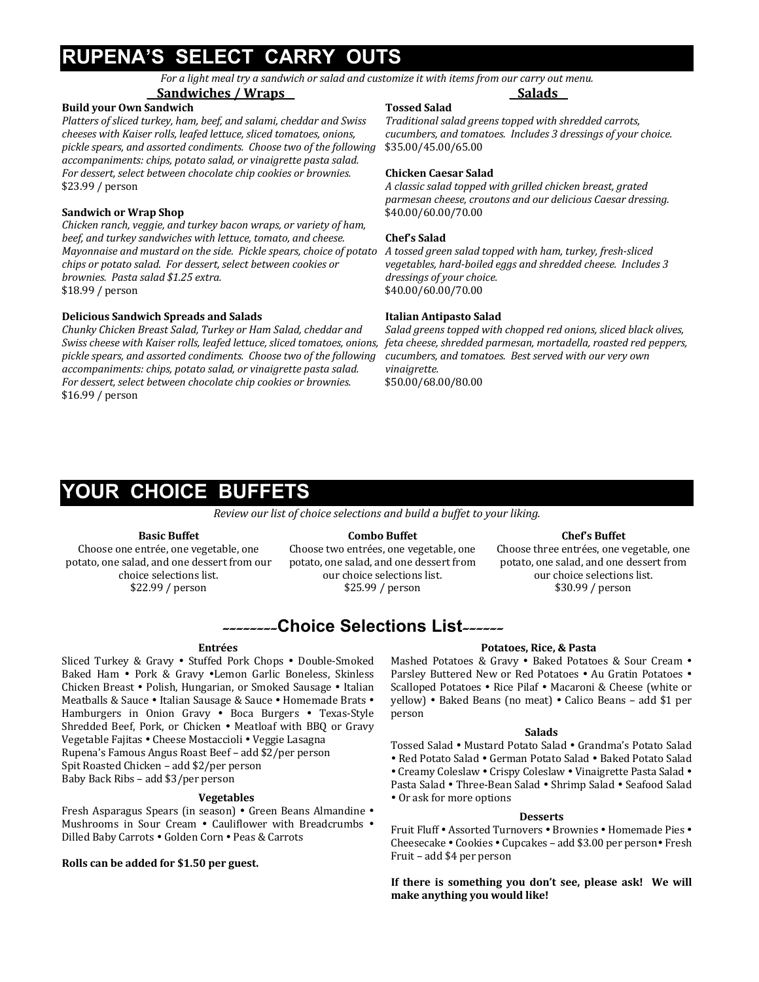# **RUPENA'S SELECT CARRY OUTS**

For a light meal try a sandwich or salad and customize it with items from our carry out menu. \_\_**Salads\_\_**

### **\_\_Sandwiches / Wraps\_\_**

### **Build your Own Sandwich**

Platters of sliced turkey, ham, beef, and salami, cheddar and Swiss *cheeses with Kaiser rolls, leafed lettuce, sliced tomatoes, onions,* pickle spears, and assorted condiments. Choose two of the following *accompaniments: chips, potato salad, or vinaigrette pasta salad.* For dessert, select between chocolate chip cookies or brownies. \$23.99 / person

### **Sandwich or Wrap Shop**

*Chicken ranch, veggie, and turkey bacon wraps, or variety of ham, beef, and turkey sandwiches with lettuce, tomato, and cheese. Mayonnaise and mustard on the side. Pickle spears, choice of potato chips* or potato salad. For dessert, select between cookies or *brownies. Pasta salad \$1.25 extra.* \$18.99 / person

### **Delicious Sandwich Spreads and Salads**

*Chunky Chicken Breast Salad, Turkey or Ham Salad, cheddar and Swiss cheese with Kaiser rolls, leafed lettuce, sliced tomatoes, onions,* pickle spears, and assorted condiments. Choose two of the following *accompaniments: chips, potato salad, or vinaigrette pasta salad.* For dessert, select between chocolate chip cookies or brownies. \$16.99 / person

### **Tossed Salad**

*Traditional salad greens topped with shredded carrots, cucumbers, and tomatoes. Includes 3 dressings of your choice.* \$35.00/45.00/65.00

### **Chicken Caesar Salad**

*A classic salad topped with grilled chicken breast, grated parmesan cheese, croutons and our delicious Caesar dressing.* \$40.00/60.00/70.00

### **Chef's Salad**

*A tossed green salad topped with ham, turkey, fresh-sliced*  vegetables, hard-boiled eggs and shredded cheese. Includes 3 *dressings of your choice.* \$40.00/60.00/70.00

### **Italian Antipasto Salad**

*Salad greens topped with chopped red onions, sliced black olives, feta cheese, shredded parmesan, mortadella, roasted red peppers, cucumbers, and tomatoes. Best served with our very own vinaigrette.* \$50.00/68.00/80.00

# **YOUR CHOICE BUFFETS**

*Review our list of choice selections and build a buffet to your liking.* 

### **Basic Buffet**

Choose one entrée, one vegetable, one potato, one salad, and one dessert from our choice selections list. \$22.99 / person

**Combo Buffet** Choose two entrées, one vegetable, one

### **Chef's Buffet**

Choose three entrées, one vegetable, one potato, one salad, and one dessert from our choice selections list. \$30.99 / person

# --------**Choice Selections List**------

### **Entrées**

Sliced Turkey & Gravy . Stuffed Pork Chops . Double-Smoked Baked Ham • Pork & Gravy •Lemon Garlic Boneless, Skinless Chicken Breast • Polish, Hungarian, or Smoked Sausage • Italian Meatballs & Sauce • Italian Sausage & Sauce • Homemade Brats • Hamburgers in Onion Gravy . Boca Burgers . Texas-Style Shredded Beef, Pork, or Chicken . Meatloaf with BBQ or Gravy Vegetable Fajitas • Cheese Mostaccioli • Veggie Lasagna Rupena's Famous Angus Roast Beef – add \$2/per person Spit Roasted Chicken - add \$2/per person Baby Back Ribs - add \$3/per person

### **Vegetables**

Fresh Asparagus Spears (in season) • Green Beans Almandine • Mushrooms in Sour Cream . Cauliflower with Breadcrumbs . Dilled Baby Carrots . Golden Corn . Peas & Carrots

Rolls can be added for \$1.50 per guest.

potato, one salad, and one dessert from our choice selections list. \$25.99 / person

### **Potatoes, Rice, & Pasta**

Mashed Potatoes & Gravy . Baked Potatoes & Sour Cream . Parsley Buttered New or Red Potatoes . Au Gratin Potatoes . Scalloped Potatoes • Rice Pilaf • Macaroni & Cheese (white or yellow) • Baked Beans (no meat) • Calico Beans - add \$1 per person

### **Salads**

Tossed Salad • Mustard Potato Salad • Grandma's Potato Salad

• Red Potato Salad • German Potato Salad • Baked Potato Salad

• Creamy Coleslaw • Crispy Coleslaw • Vinaigrette Pasta Salad • Pasta Salad • Three-Bean Salad • Shrimp Salad • Seafood Salad • Or ask for more options

### **Desserts**

Fruit Fluff • Assorted Turnovers • Brownies • Homemade Pies • Cheesecake • Cookies • Cupcakes – add \$3.00 per person• Fresh Fruit - add \$4 per person

If there is something you don't see, please ask! We will **make anything you would like!**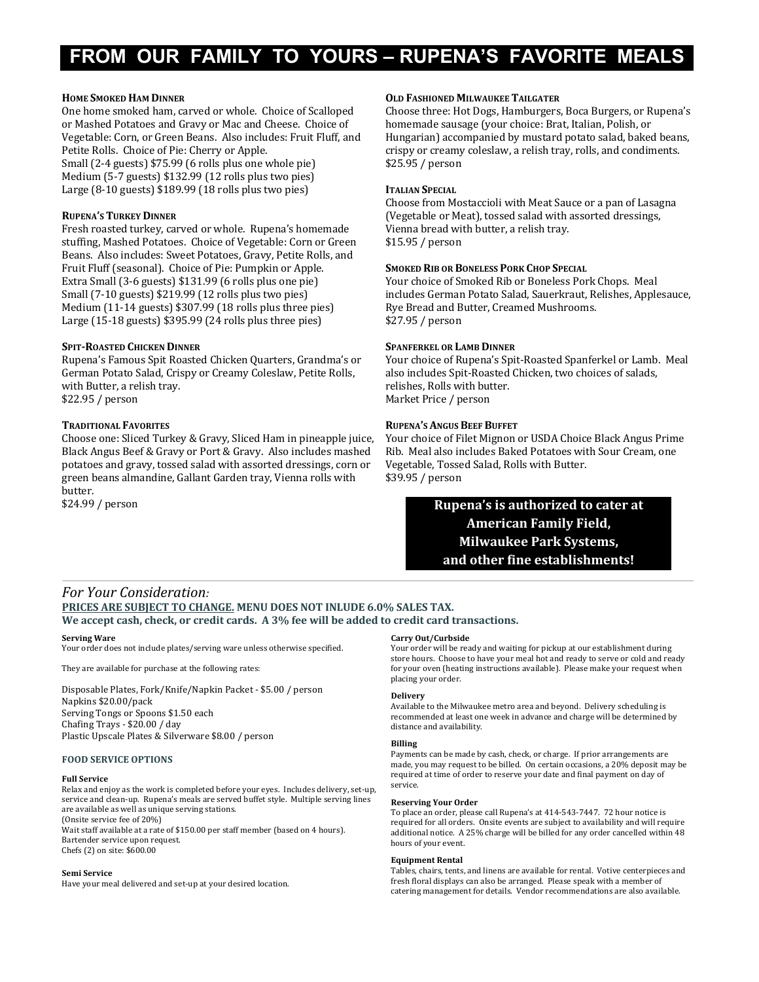# **FROM OUR FAMILY TO YOURS – RUPENA'S FAVORITE MEALS**

### **HOME SMOKED HAM DINNER**

One home smoked ham, carved or whole. Choice of Scalloped or Mashed Potatoes and Gravy or Mac and Cheese. Choice of Vegetable: Corn, or Green Beans. Also includes: Fruit Fluff, and Petite Rolls. Choice of Pie: Cherry or Apple. Small  $(2-4$  guests) \$75.99 (6 rolls plus one whole pie) Medium  $(5-7$  guests)  $$132.99$   $(12$  rolls plus two pies) Large  $(8-10 \text{ guests})$  \$189.99  $(18 \text{ rolls plus two pies})$ 

### **RUPENA'S TURKEY DINNER**

Fresh roasted turkey, carved or whole. Rupena's homemade stuffing, Mashed Potatoes. Choice of Vegetable: Corn or Green Beans. Also includes: Sweet Potatoes, Gravy, Petite Rolls, and Fruit Fluff (seasonal). Choice of Pie: Pumpkin or Apple. Extra Small  $(3-6$  guests) \$131.99  $(6 \text{ rolls plus one pie})$ Small (7-10 guests) \$219.99 (12 rolls plus two pies) Medium (11-14 guests) \$307.99 (18 rolls plus three pies) Large  $(15-18$  guests) \$395.99  $(24$  rolls plus three pies)

### **SPIT-ROASTED CHICKEN DINNER**

Rupena's Famous Spit Roasted Chicken Quarters, Grandma's or German Potato Salad, Crispy or Creamy Coleslaw, Petite Rolls, with Butter, a relish tray. \$22.95 / person

### **TRADITIONAL FAVORITES**

Choose one: Sliced Turkey & Gravy, Sliced Ham in pineapple juice, Black Angus Beef & Gravy or Port & Gravy. Also includes mashed potatoes and gravy, tossed salad with assorted dressings, corn or green beans almandine, Gallant Garden tray, Vienna rolls with butter.

\$24.99 / person

### **OLD FASHIONED MILWAUKEE TAILGATER**

Choose three: Hot Dogs, Hamburgers, Boca Burgers, or Rupena's homemade sausage (your choice: Brat, Italian, Polish, or Hungarian) accompanied by mustard potato salad, baked beans, crispy or creamy coleslaw, a relish tray, rolls, and condiments. \$25.95 / person

### **ITALIAN SPECIAL**

Choose from Mostaccioli with Meat Sauce or a pan of Lasagna (Vegetable or Meat), tossed salad with assorted dressings, Vienna bread with butter, a relish tray. \$15.95 / person

### **SMOKED RIB OR BONELESS PORK CHOP SPECIAL**

Your choice of Smoked Rib or Boneless Pork Chops. Meal includes German Potato Salad, Sauerkraut, Relishes, Applesauce, Rye Bread and Butter, Creamed Mushrooms. \$27.95 / person

### **SPANFERKEL OR LAMB DINNER**

Your choice of Rupena's Spit-Roasted Spanferkel or Lamb. Meal also includes Spit-Roasted Chicken, two choices of salads, relishes, Rolls with butter. Market Price / person

### **RUPENA'S ANGUS BEEF BUFFET**

Your choice of Filet Mignon or USDA Choice Black Angus Prime Rib. Meal also includes Baked Potatoes with Sour Cream, one Vegetable, Tossed Salad, Rolls with Butter. \$39.95 / person

### **Rupena's is authorized to cater at American Family Field, Milwaukee Park Systems,** and other fine establishments!

### *For Your Consideration:* **PRICES ARE SUBJECT TO CHANGE. MENU DOES NOT INLUDE 6.0% SALES TAX.** We accept cash, check, or credit cards. A 3% fee will be added to credit card transactions.

### **Serving Ware**

Your order does not include plates/serving ware unless otherwise specified.

They are available for purchase at the following rates:

Disposable Plates, Fork/Knife/Napkin Packet - \$5.00 / person Napkins \$20.00/pack Serving Tongs or Spoons \$1.50 each Chafing Trays - \$20.00 / day Plastic Upscale Plates & Silverware \$8.00 / person

### **FOOD SERVICE OPTIONS**

### **Full Service**

Relax and enjoy as the work is completed before your eyes. Includes delivery, set-up, service and clean-up. Rupena's meals are served buffet style. Multiple serving lines are available as well as unique serving stations. (Onsite service fee of 20%) Wait staff available at a rate of \$150.00 per staff member (based on 4 hours).

Bartender service upon request. Chefs (2) on site: \$600.00

#### **Semi Service**

Have your meal delivered and set-up at your desired location.

### **Carry Out/Curbside**

Your order will be ready and waiting for pickup at our establishment during store hours. Choose to have your meal hot and ready to serve or cold and ready for your oven (heating instructions available). Please make your request when placing your order.

### **Delivery**

Available to the Milwaukee metro area and beyond. Delivery scheduling is recommended at least one week in advance and charge will be determined by distance and availability.

### **Billing**

Payments can be made by cash, check, or charge. If prior arrangements are made, you may request to be billed. On certain occasions, a 20% deposit may be required at time of order to reserve your date and final payment on day of service.

### **Reserving Your Order**

To place an order, please call Rupena's at 414-543-7447. 72 hour notice is required for all orders. Onsite events are subject to availability and will require additional notice. A 25% charge will be billed for any order cancelled within 48 hours of your event.

### **Equipment Rental**

Tables, chairs, tents, and linens are available for rental. Votive centerpieces and fresh floral displays can also be arranged. Please speak with a member of catering management for details. Vendor recommendations are also available.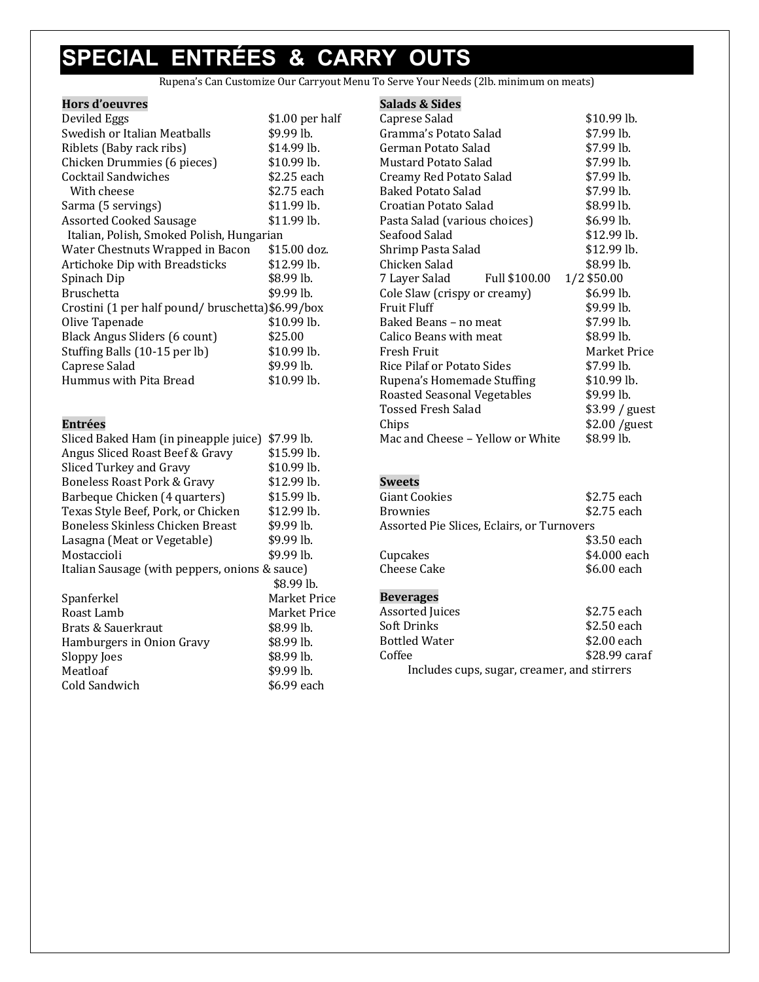# **SPECIAL ENTRÉES & CARRY OUTS**

Rupena's Can Customize Our Carryout Menu To Serve Your Needs (2lb. minimum on meats)

| Hors d'oeuvres                                   |                 |
|--------------------------------------------------|-----------------|
| Deviled Eggs                                     | \$1.00 per half |
| Swedish or Italian Meatballs                     | \$9.99 lb.      |
| Riblets (Baby rack ribs)                         | $$14.99$ lb.    |
| Chicken Drummies (6 pieces)                      | $$10.99$ lb.    |
| Cocktail Sandwiches                              | \$2.25 each     |
| With cheese                                      | \$2.75 each     |
| Sarma (5 servings)                               | $$11.99$ lb.    |
| <b>Assorted Cooked Sausage</b>                   | $$11.99$ lb.    |
| Italian, Polish, Smoked Polish, Hungarian        |                 |
| Water Chestnuts Wrapped in Bacon                 | \$15.00 doz.    |
| Artichoke Dip with Breadsticks                   | $$12.99$ lb.    |
| Spinach Dip                                      | \$8.99 lb.      |
| <b>Bruschetta</b>                                | \$9.99 lb.      |
| Crostini (1 per half pound/bruschetta)\$6.99/box |                 |
| Olive Tapenade                                   | \$10.99 lb.     |
| Black Angus Sliders (6 count)                    | \$25.00         |
| Stuffing Balls (10-15 per lb)                    | $$10.99$ lb.    |
| Caprese Salad                                    | $$9.99$ lb.     |
| Hummus with Pita Bread                           | \$10.99 lb.     |

### **Entrées**

| Sliced Baked Ham (in pineapple juice)          | \$7.99 lb.          |
|------------------------------------------------|---------------------|
| Angus Sliced Roast Beef & Gravy                | $$15.99$ lb.        |
| Sliced Turkey and Gravy                        | $$10.99$ lb.        |
| <b>Boneless Roast Pork &amp; Gravy</b>         | \$12.99 lb.         |
| Barbeque Chicken (4 quarters)                  | $$15.99$ lb.        |
| Texas Style Beef, Pork, or Chicken             | $$12.99$ lb.        |
| Boneless Skinless Chicken Breast               | $$9.99$ lb.         |
| Lasagna (Meat or Vegetable)                    | \$9.99 lb.          |
| Mostaccioli                                    | $$9.99$ lb.         |
| Italian Sausage (with peppers, onions & sauce) |                     |
|                                                | $$8.99$ lb.         |
| Spanferkel                                     | <b>Market Price</b> |
| Roast Lamb                                     | Market Price        |
| Brats & Sauerkraut                             | \$8.99 lb.          |
| Hamburgers in Onion Gravy                      | \$8.99 lb.          |
| Sloppy Joes                                    | $$8.99$ lb.         |
| Meatloaf                                       | \$9.99 lb.          |

Cold Sandwich \$6.99 each

### **Salads & Sides**

| Caprese Salad                     |               | \$10.99 lb.    |
|-----------------------------------|---------------|----------------|
| Gramma's Potato Salad             |               | \$7.99 lb.     |
| German Potato Salad               |               | \$7.99 lb.     |
| Mustard Potato Salad              |               | \$7.99 lb.     |
| Creamy Red Potato Salad           |               | \$7.99 lb.     |
| <b>Baked Potato Salad</b>         |               | \$7.99 lb.     |
| Croatian Potato Salad             |               | \$8.99 lb.     |
| Pasta Salad (various choices)     |               | \$6.99 lb.     |
| Seafood Salad                     |               | \$12.99 lb.    |
| Shrimp Pasta Salad                |               | \$12.99 lb.    |
| Chicken Salad                     |               | \$8.99 lb.     |
| 7 Layer Salad                     | Full \$100.00 | 1/2 \$50.00    |
| Cole Slaw (crispy or creamy)      |               | \$6.99 lb.     |
| <b>Fruit Fluff</b>                |               | \$9.99 lb.     |
| Baked Beans - no meat             |               | \$7.99 lb.     |
| Calico Beans with meat            |               | \$8.99 lb.     |
| Fresh Fruit                       |               | Market Price   |
| <b>Rice Pilaf or Potato Sides</b> |               | \$7.99 lb.     |
| Rupena's Homemade Stuffing        |               | $$10.99$ lb.   |
| Roasted Seasonal Vegetables       |               | \$9.99 lb.     |
| Tossed Fresh Salad                |               | \$3.99 / guest |
| Chips                             |               | \$2.00 /guest  |
| Mac and Cheese – Yellow or White  |               | \$8.99 lb.     |
|                                   |               |                |

### **Sweets**

| Giant Cookies                              | \$2.75 each  |
|--------------------------------------------|--------------|
| <b>Brownies</b>                            | \$2.75 each  |
| Assorted Pie Slices, Eclairs, or Turnovers |              |
|                                            | \$3.50 each  |
| Cupcakes                                   | \$4.000 each |
| Cheese Cake                                | \$6.00 each  |
|                                            |              |

### **Beverages**

| <b>Assorted Juices</b>                      | \$2.75 each   |  |
|---------------------------------------------|---------------|--|
| Soft Drinks                                 | \$2.50 each   |  |
| <b>Bottled Water</b>                        | \$2.00 each   |  |
| Coffee                                      | \$28.99 caraf |  |
| Includes cups, sugar, creamer, and stirrers |               |  |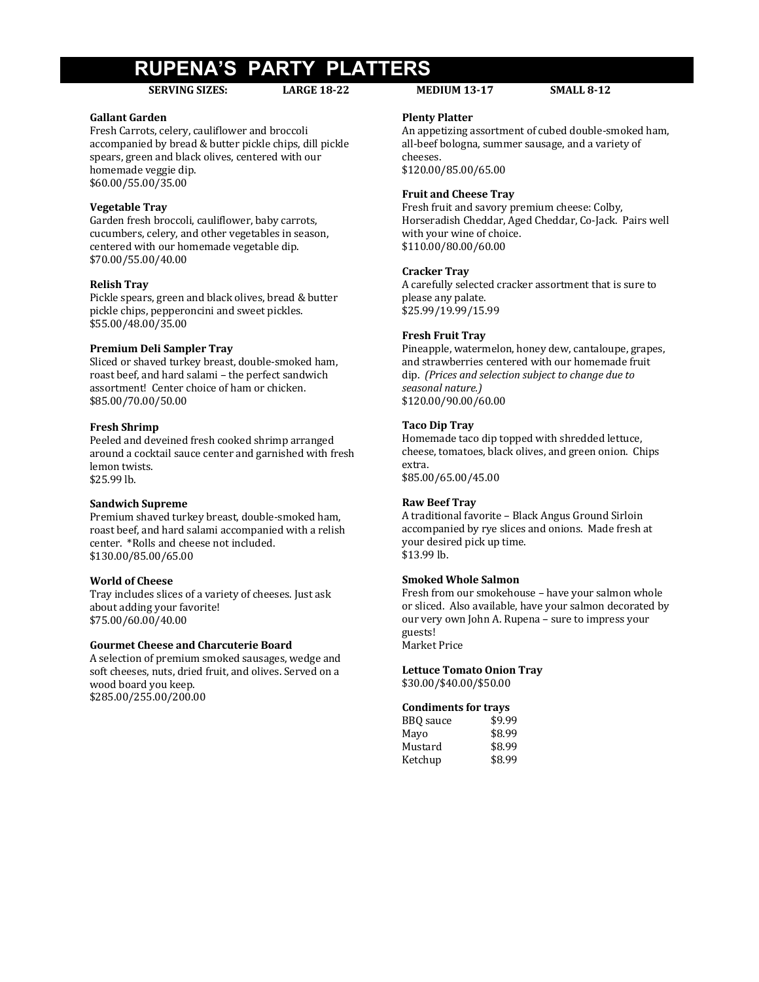# **RUPENA'S PARTY PLATTERS**

### **SERVING SIZES: LARGE 18-22 MEDIUM 13-17 SMALL 8-12**

### **Gallant Garden**

Fresh Carrots, celery, cauliflower and broccoli accompanied by bread & butter pickle chips, dill pickle spears, green and black olives, centered with our homemade veggie dip. \$60.00/55.00/35.00

### **Vegetable Tray**

Garden fresh broccoli, cauliflower, baby carrots, cucumbers, celery, and other vegetables in season, centered with our homemade vegetable dip. \$70.00/55.00/40.00

### **Relish Tray**

Pickle spears, green and black olives, bread & butter pickle chips, pepperoncini and sweet pickles. \$55.00/48.00/35.00

### **Premium Deli Sampler Tray**

Sliced or shaved turkey breast, double-smoked ham, roast beef, and hard salami - the perfect sandwich assortment! Center choice of ham or chicken. \$85.00/70.00/50.00

### **Fresh Shrimp**

Peeled and deveined fresh cooked shrimp arranged around a cocktail sauce center and garnished with fresh lemon twists. \$25.99 lb.

### **Sandwich Supreme**

Premium shaved turkey breast, double-smoked ham, roast beef, and hard salami accompanied with a relish center. \*Rolls and cheese not included. \$130.00/85.00/65.00

### **World of Cheese**

Tray includes slices of a variety of cheeses. Just ask about adding your favorite! \$75.00/60.00/40.00

### **Gourmet Cheese and Charcuterie Board**

A selection of premium smoked sausages, wedge and soft cheeses, nuts, dried fruit, and olives. Served on a wood board you keep. \$285.00/255.00/200.00

### **Plenty Platter**

An appetizing assortment of cubed double-smoked ham, all-beef bologna, summer sausage, and a variety of cheeses. \$120.00/85.00/65.00

### **Fruit and Cheese Tray**

Fresh fruit and savory premium cheese: Colby, Horseradish Cheddar, Aged Cheddar, Co-Jack. Pairs well with your wine of choice. \$110.00/80.00/60.00

### **Cracker Tray**

A carefully selected cracker assortment that is sure to please any palate. \$25.99/19.99/15.99

### **Fresh Fruit Tray**

Pineapple, watermelon, honey dew, cantaloupe, grapes, and strawberries centered with our homemade fruit dip. (Prices and selection subject to change due to *seasonal nature.)* \$120.00/90.00/60.00

### **Taco Dip Tray**

Homemade taco dip topped with shredded lettuce, cheese, tomatoes, black olives, and green onion. Chips extra. \$85.00/65.00/45.00

### **Raw Beef Tray**

A traditional favorite - Black Angus Ground Sirloin accompanied by rye slices and onions. Made fresh at your desired pick up time. \$13.99 lb.

### **Smoked Whole Salmon**

Fresh from our smokehouse - have your salmon whole or sliced. Also available, have your salmon decorated by our very own John A. Rupena - sure to impress your guests! Market Price

### **Lettuce Tomato Onion Tray**

\$30.00/\$40.00/\$50.00

### **Condiments for trays**

| BBQ sauce | \$9.99 |
|-----------|--------|
| Mayo      | \$8.99 |
| Mustard   | \$8.99 |
| Ketchup   | \$8.99 |